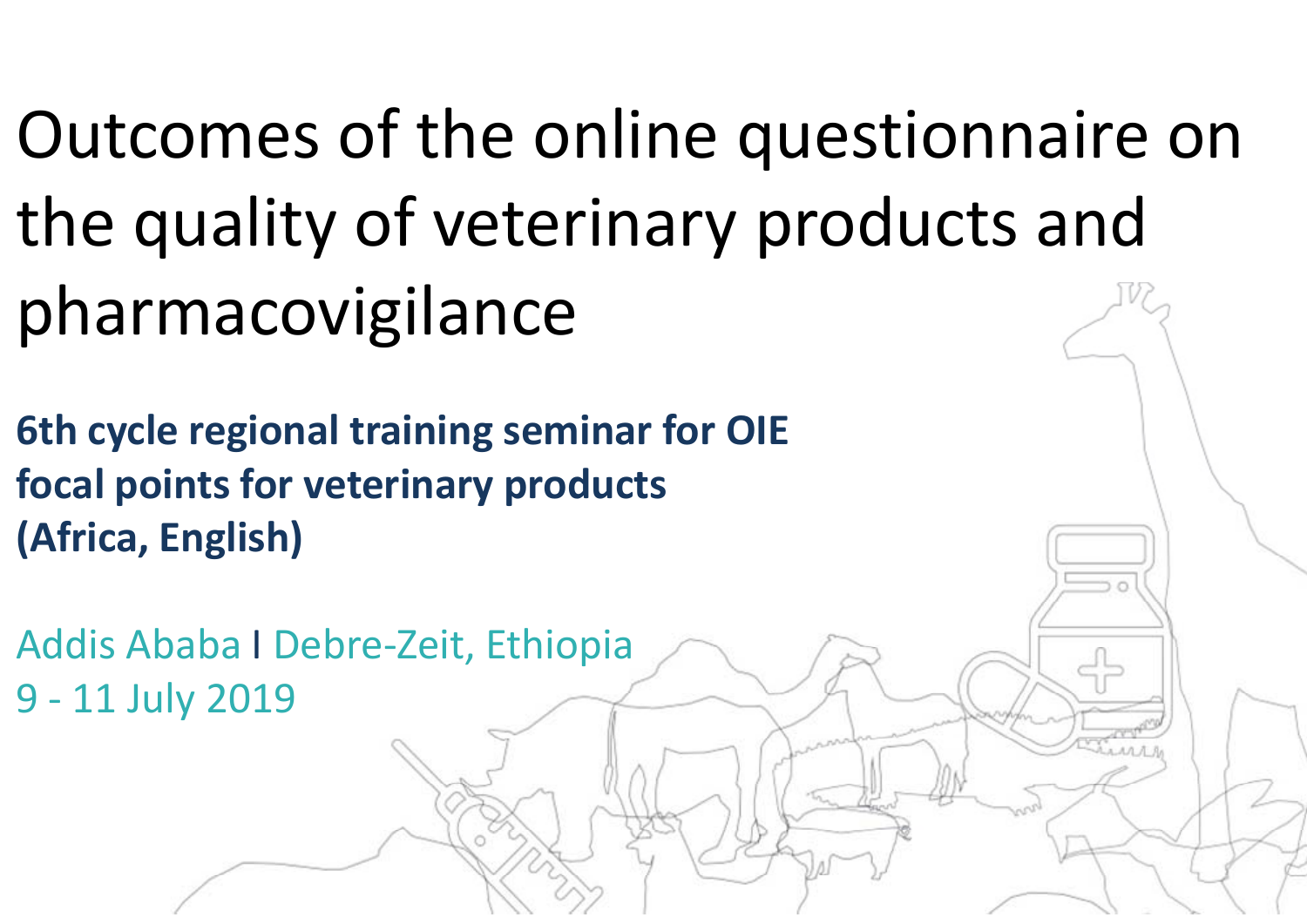Outcomes of the online questionnaire on the quality of veterinary products and pharmacovigilance

**6th cycle regional training seminar for OIE focal points for veterinary products (Africa, English)**

Addis Ababa I Debre-Zeit, Ethiopia 9 - 11 July 2019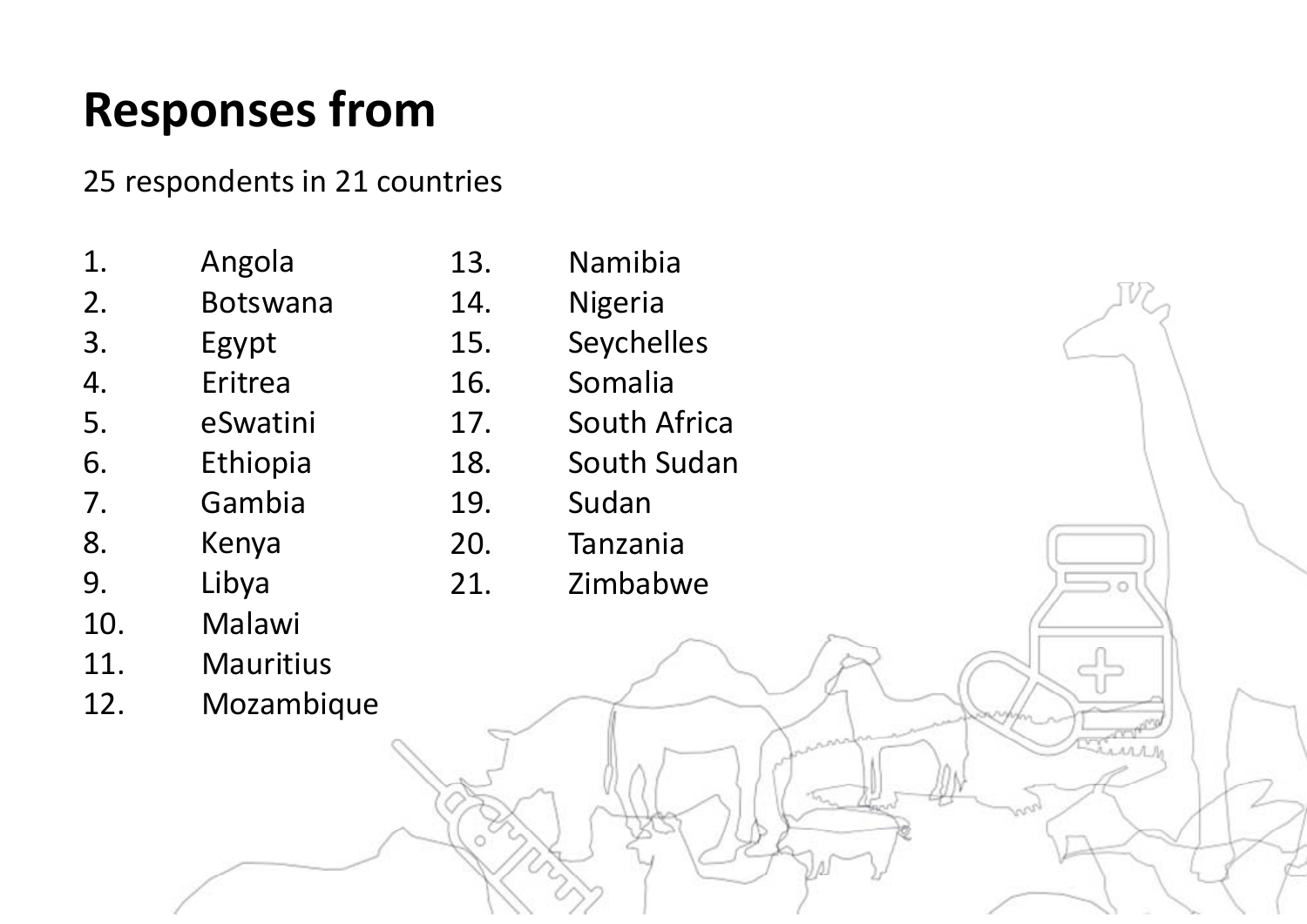### **Responses from**

25 respondents in 21 countries

- 1. Angola 2. Botswana 3. Egypt 4. Eritrea 5. eSwatini 6. Ethiopia 7. Gambia 8. Kenya 9. Libya
- 10. Malawi
- 11. Mauritius
- 12. Mozambique
- 13. Namibia 14. Nigeria 15. Seychelles 16. Somalia 17. South Africa 18. South Sudan 19. Sudan 20. Tanzania
	- 21. Zimbabwe

*AMAR*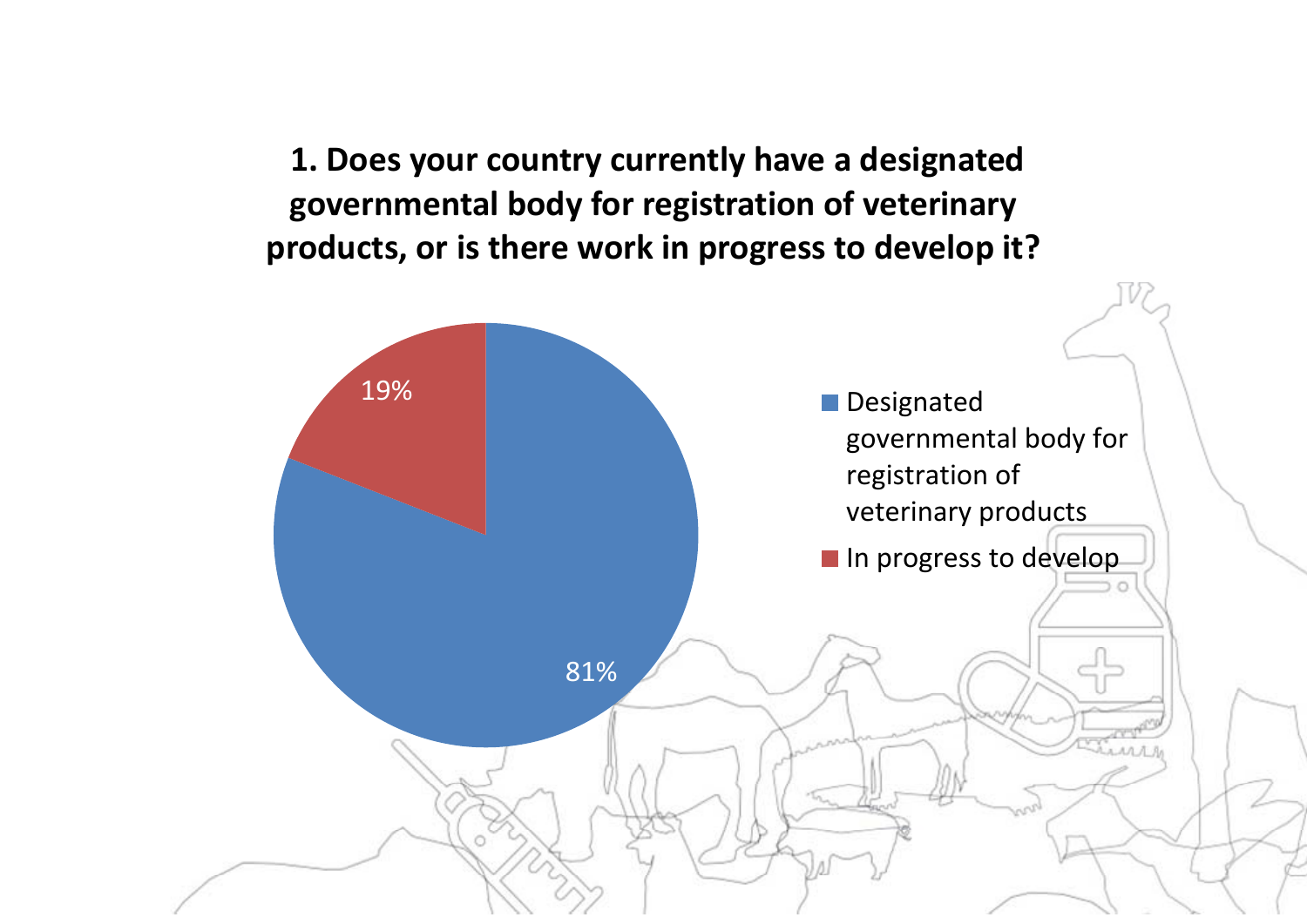**1. Does your country currently have a designated governmental body for registration of veterinary products, or is there work in progress to develop it?** 

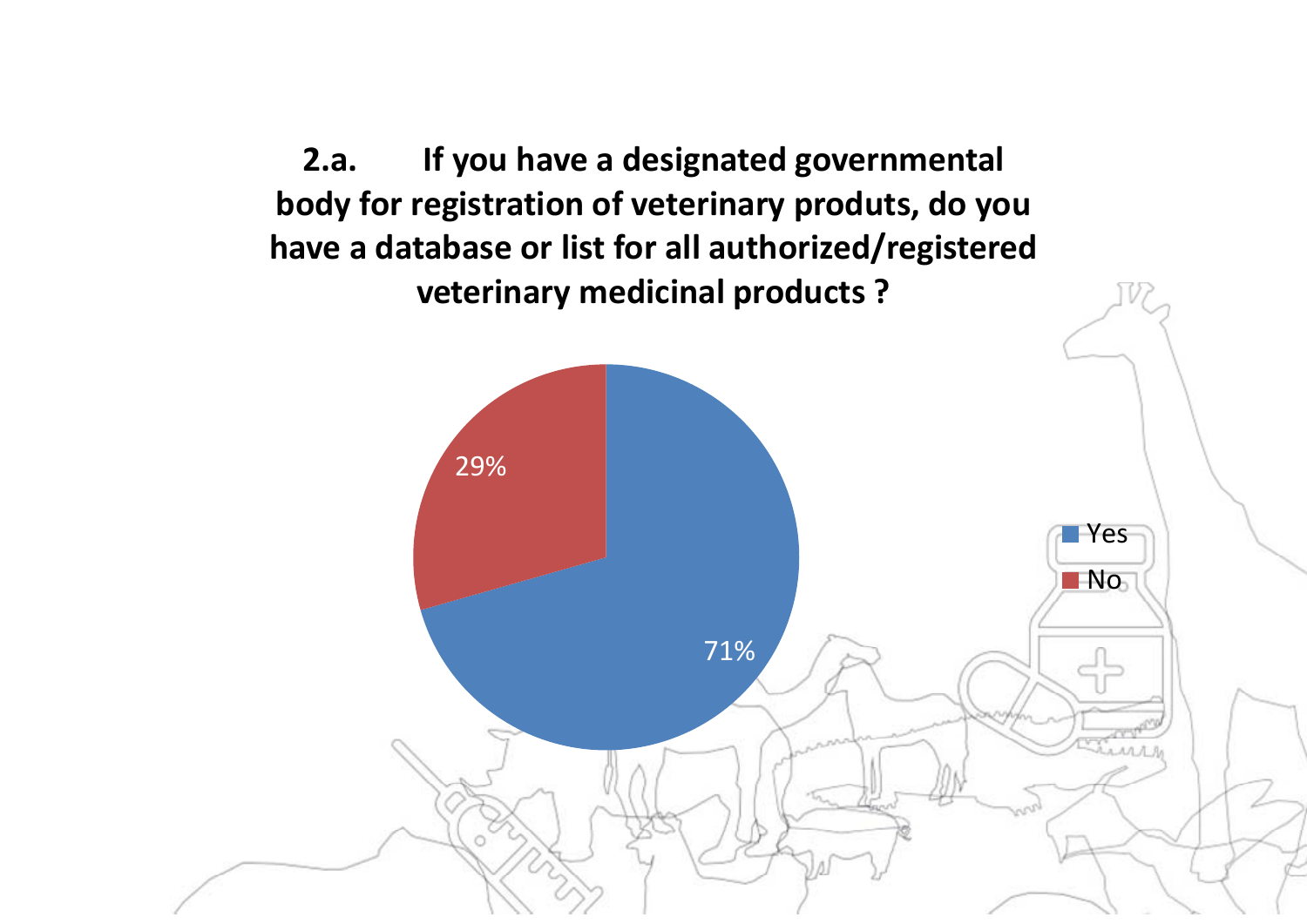**2.a. If you have a designated governmental body for registration of veterinary produts, do you have a database or list for all authorized/registered veterinary medicinal products ?**

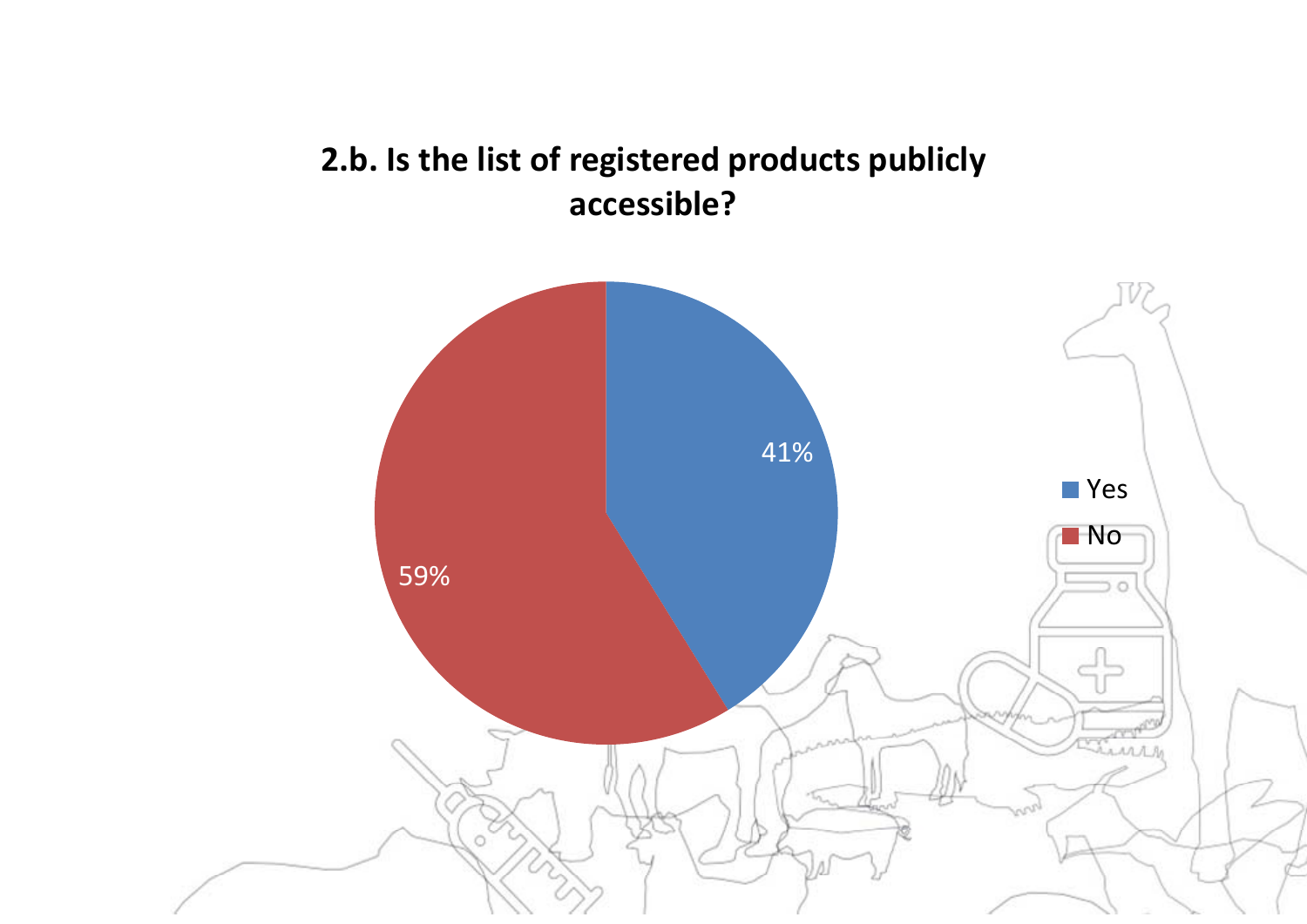#### **2.b. Is the list of registered products publicly accessible?**

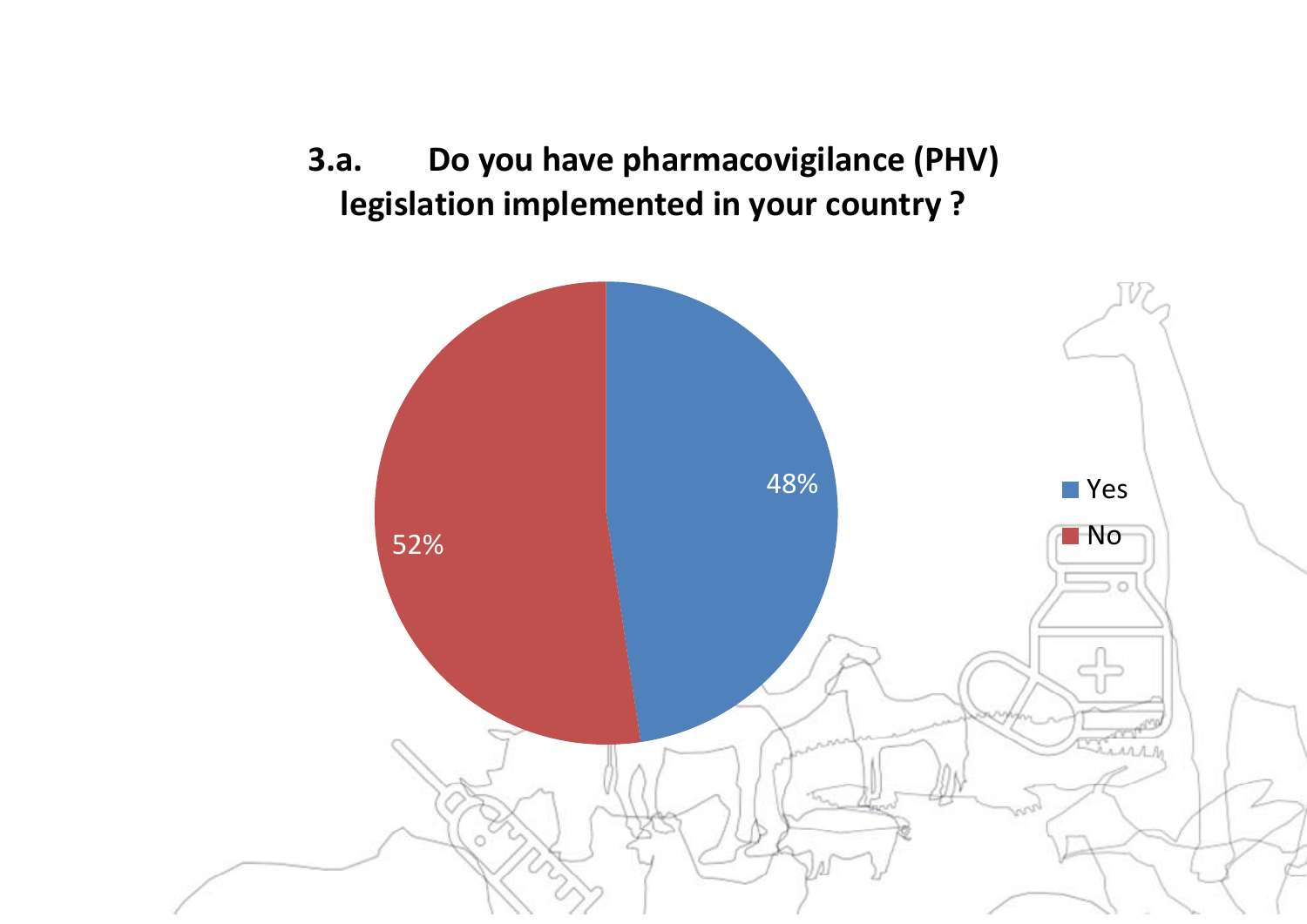**3.a. Do you have pharmacovigilance (PHV) legislation implemented in your country ?** 

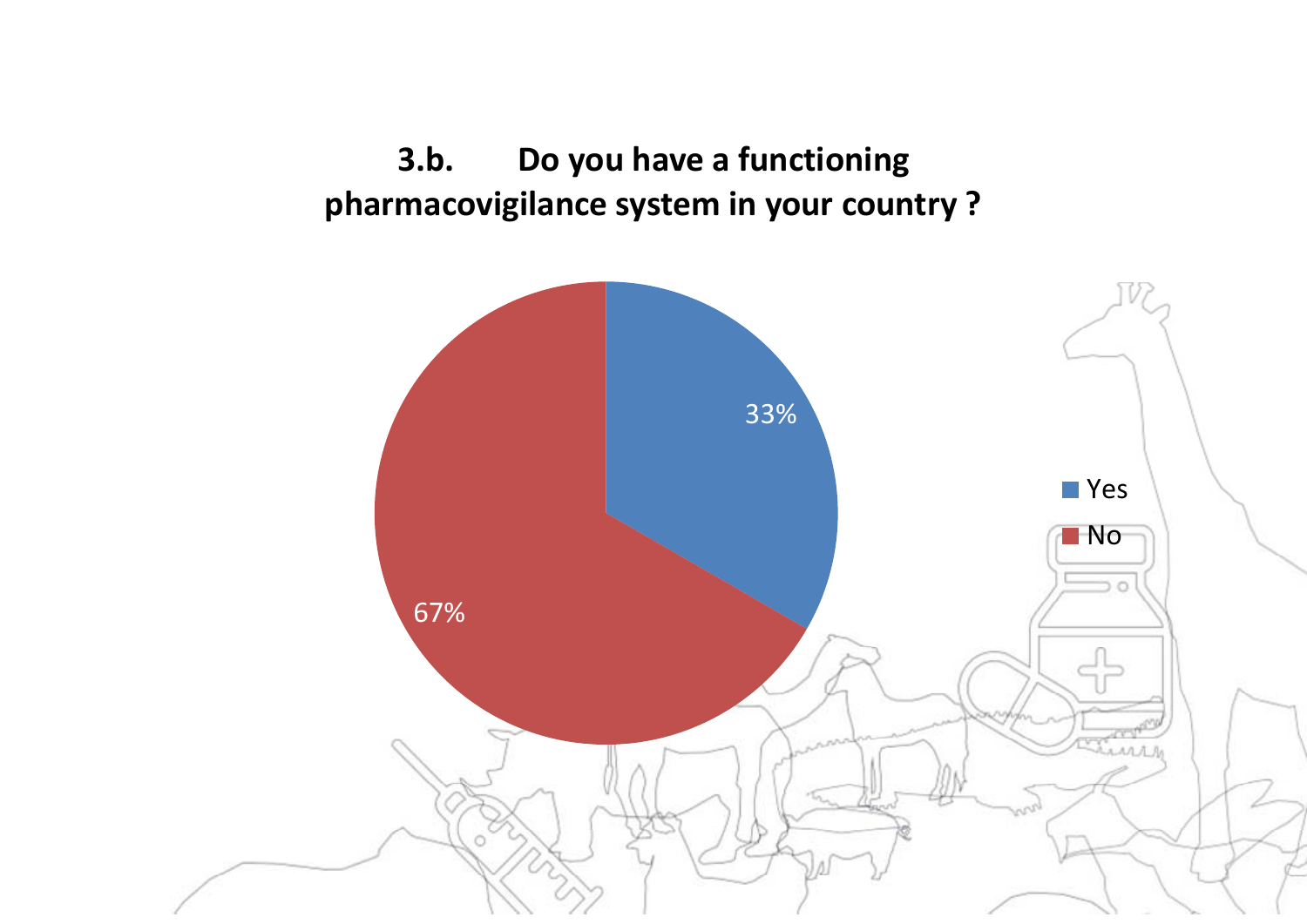**3.b. Do you have a functioning pharmacovigilance system in your country ?** 

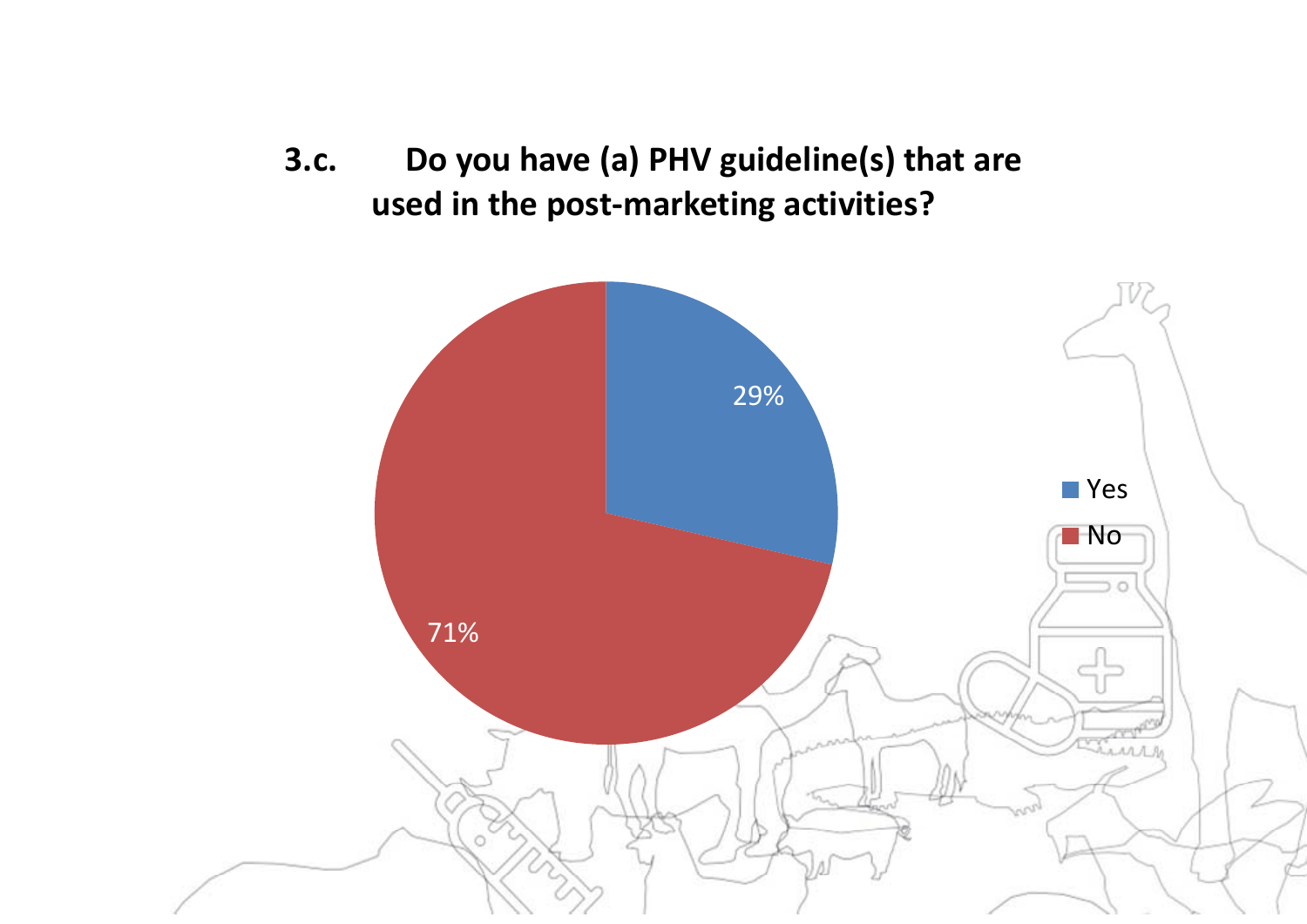**3.c. Do you have (a) PHV guideline(s) that are used in the post-marketing activities?** 

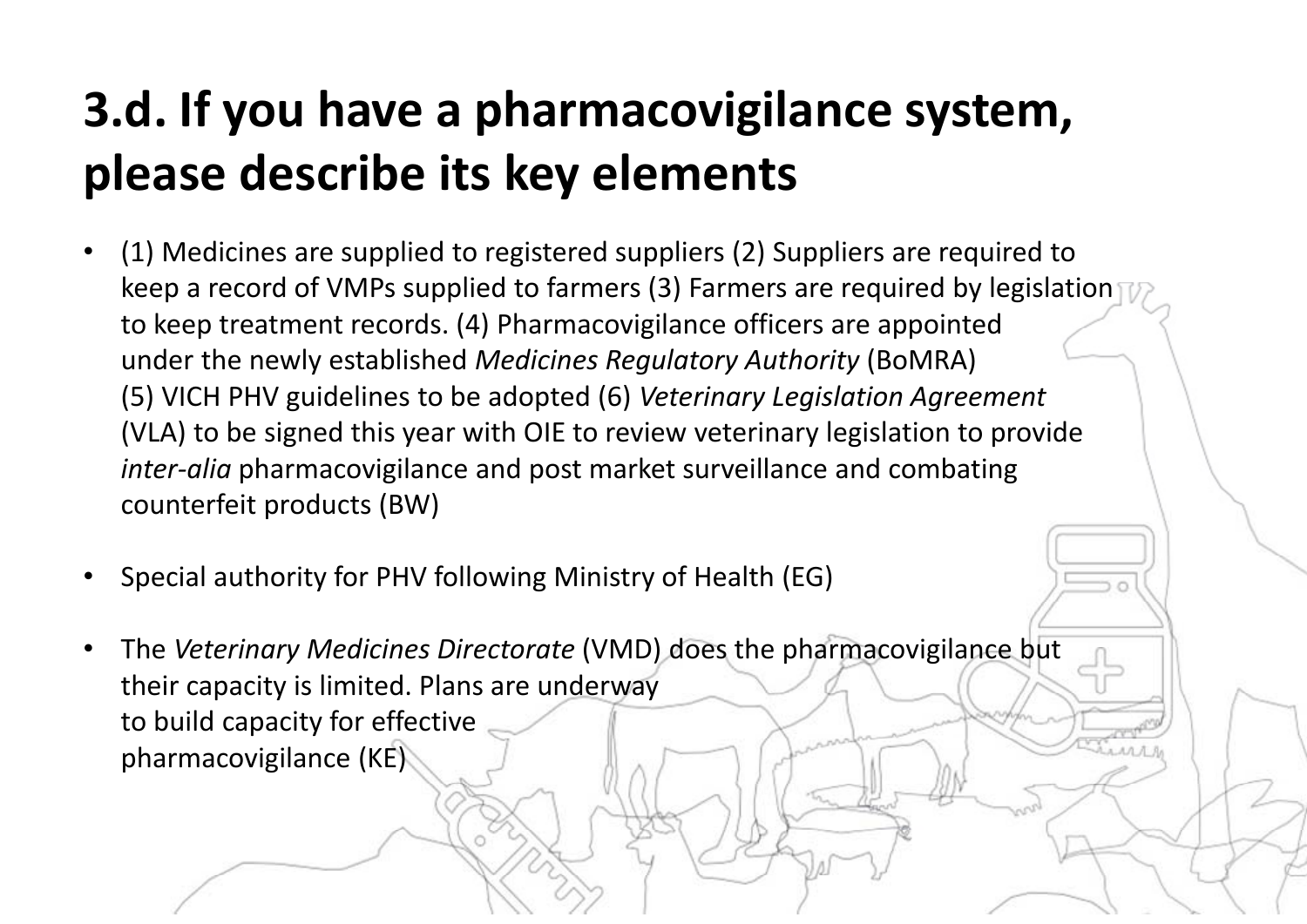# **3.d. If you have a pharmacovigilance system, please describe its key elements**

- • (1) Medicines are supplied to registered suppliers (2) Suppliers are required to keep a record of VMPs supplied to farmers (3) Farmers are required by legislation to keep treatment records. (4) Pharmacovigilance officers are appointed under the newly established *Medicines Regulatory Authority* (BoMRA) (5) VICH PHV guidelines to be adopted (6) *Veterinary Legislation Agreement*  (VLA) to be signed this year with OIE to review veterinary legislation to provide *inter-alia* pharmacovigilance and post market surveillance and combating counterfeit products (BW)
- •Special authority for PHV following Ministry of Health (EG)
- • The *Veterinary Medicines Directorate* (VMD) does the pharmacovigilance but their capacity is limited. Plans are underway to build capacity for effective pharmacovigilance (KE)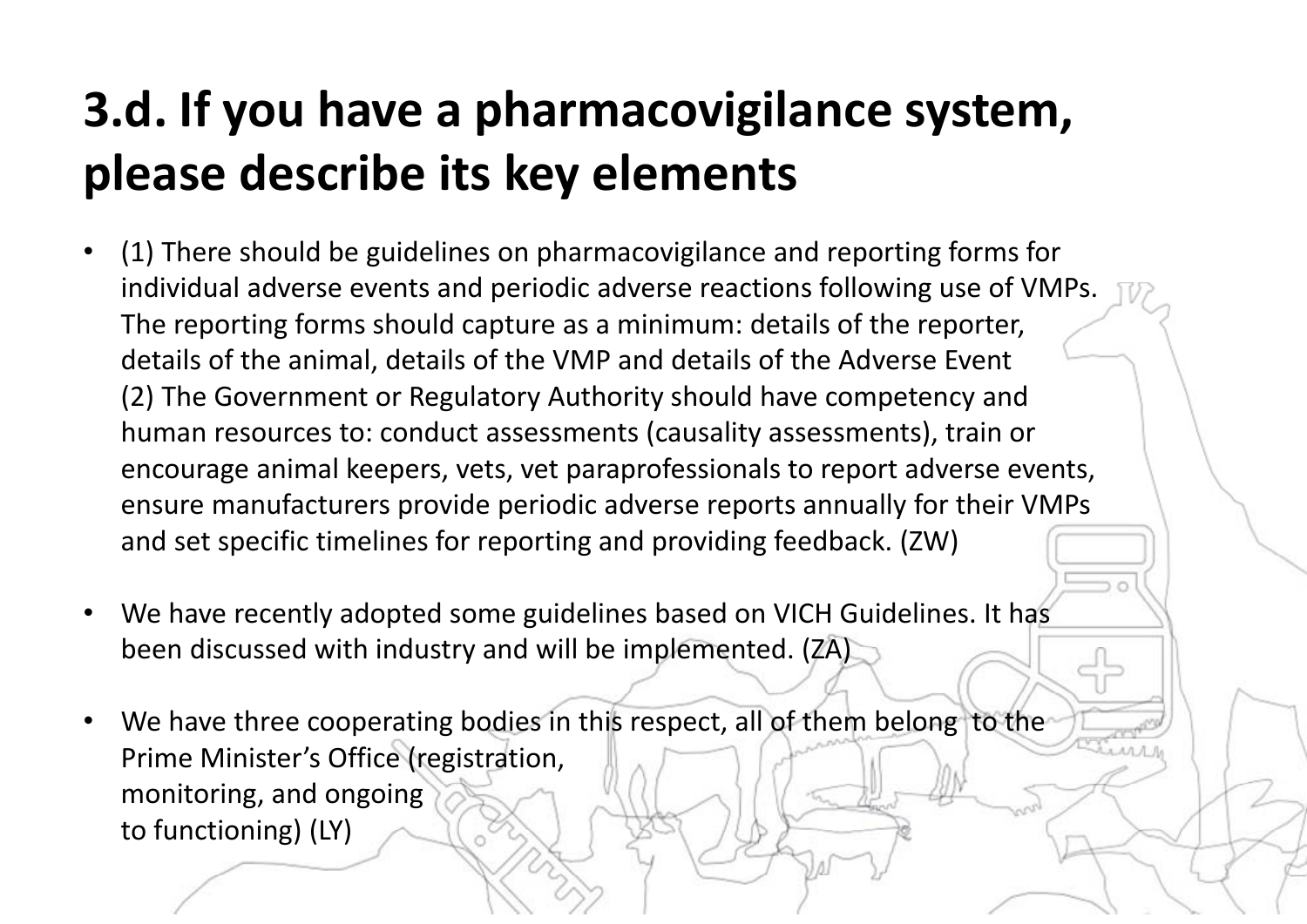# **3.d. If you have a pharmacovigilance system, please describe its key elements**

- • (1) There should be guidelines on pharmacovigilance and reporting forms for individual adverse events and periodic adverse reactions following use of VMPs. The reporting forms should capture as a minimum: details of the reporter, details of the animal, details of the VMP and details of the Adverse Event (2) The Government or Regulatory Authority should have competency and human resources to: conduct assessments (causality assessments), train or encourage animal keepers, vets, vet paraprofessionals to report adverse events, ensure manufacturers provide periodic adverse reports annually for their VMPs and set specific timelines for reporting and providing feedback. (ZW)
- $\bullet$  We have recently adopted some guidelines based on VICH Guidelines. It has been discussed with industry and will be implemented. (ZA)
- •We have three cooperating bodies in this respect, all of them belong to the Prime Minister's Office (registration, monitoring, and ongoing to functioning) (LY)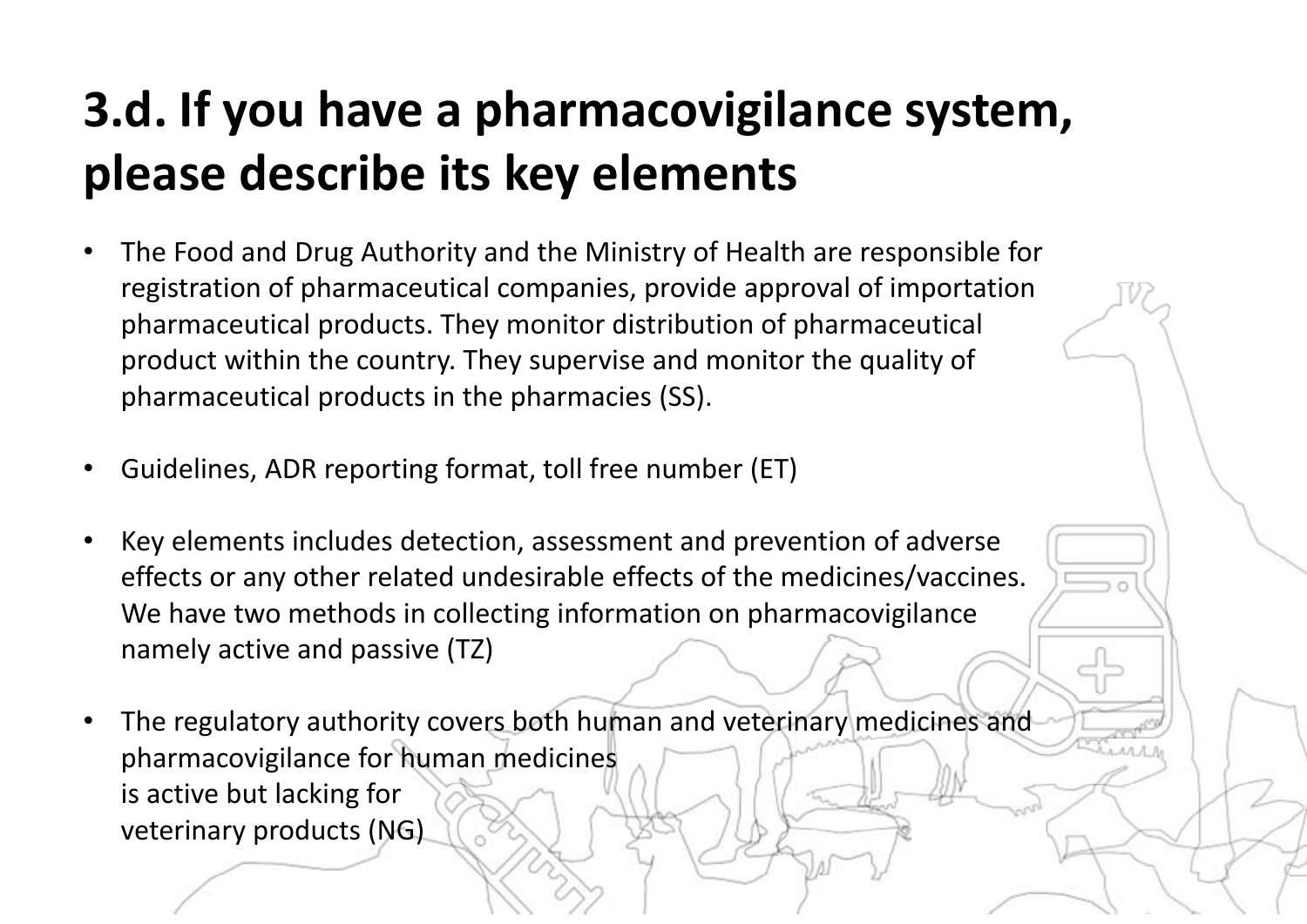# **3.d. If you have a pharmacovigilance system, please describe its key elements**

- • The Food and Drug Authority and the Ministry of Health are responsible for registration of pharmaceutical companies, provide approval of importation pharmaceutical products. They monitor distribution of pharmaceutical product within the country. They supervise and monitor the quality of pharmaceutical products in the pharmacies (SS).
- •Guidelines, ADR reporting format, toll free number (ET)
- • Key elements includes detection, assessment and prevention of adverse effects or any other related undesirable effects of the medicines/vaccines. We have two methods in collecting information on pharmacovigilance namely active and passive (TZ)
- • The regulatory authority covers both human and veterinary medicines and pharmacovigilance for human medicines is active but lacking for veterinary products (NG)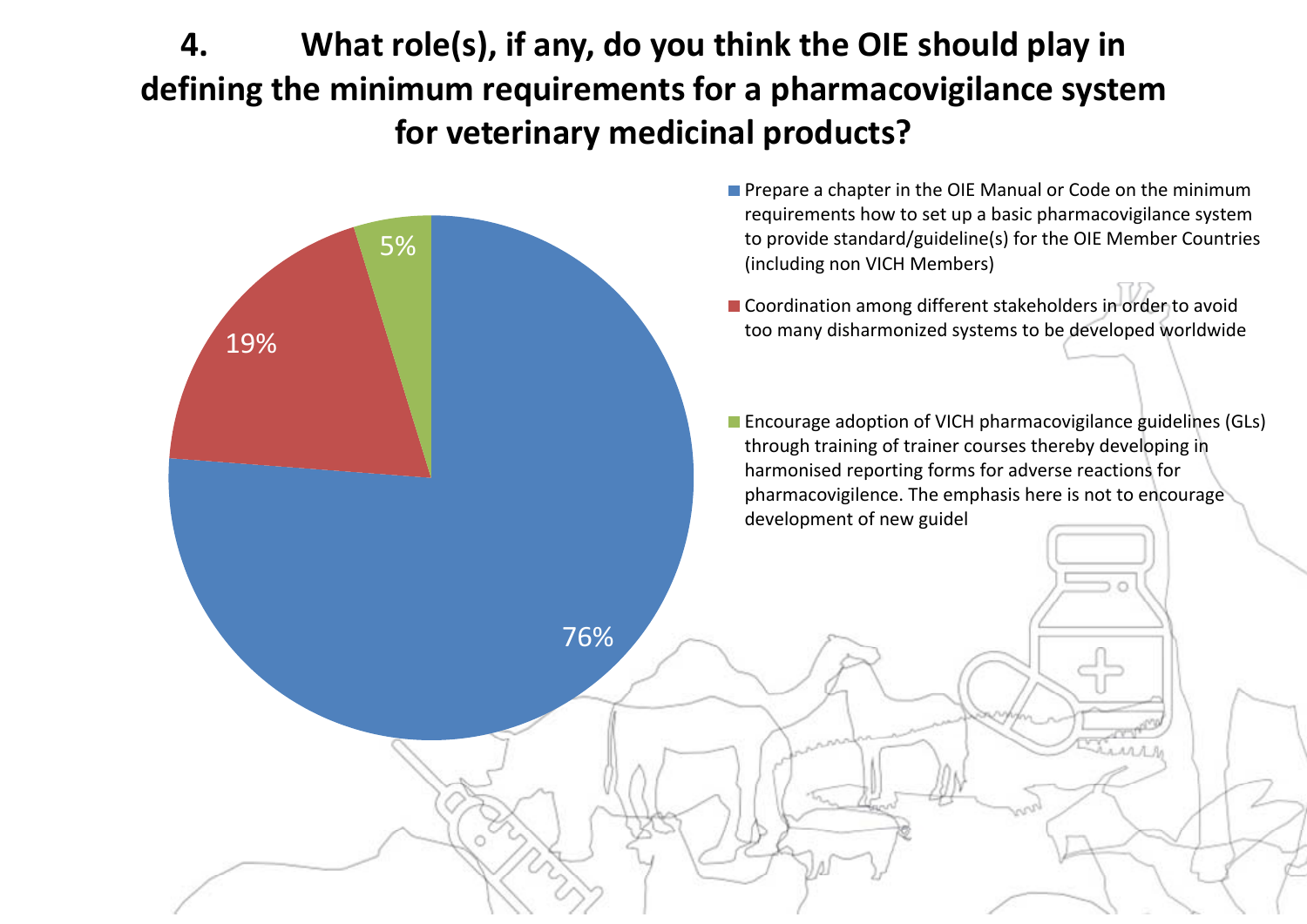**4. What role(s), if any, do you think the OIE should play in defining the minimum requirements for a pharmacovigilance system for veterinary medicinal products?**

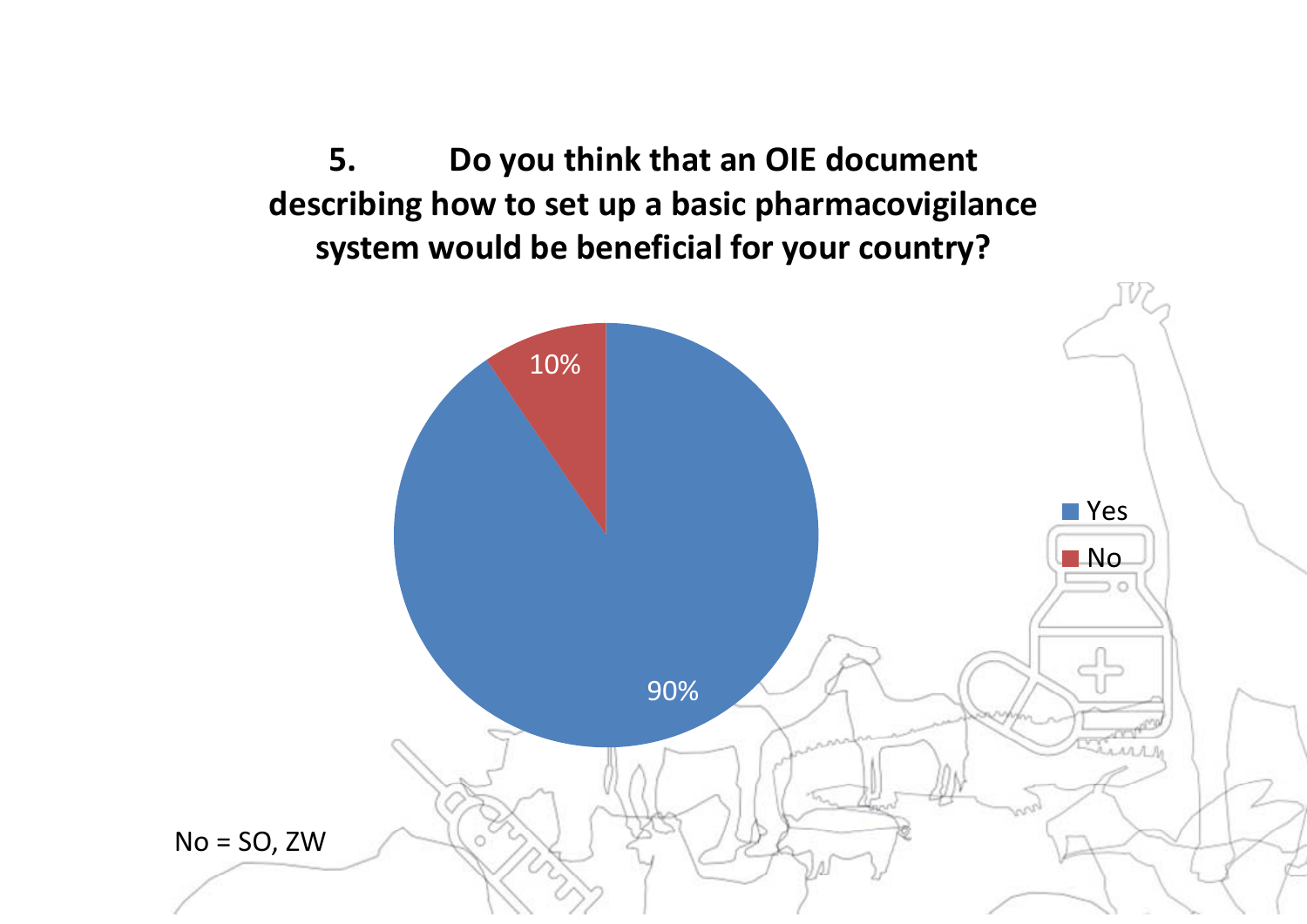**5. Do you think that an OIE document describing how to set up a basic pharmacovigilance system would be beneficial for your country?**

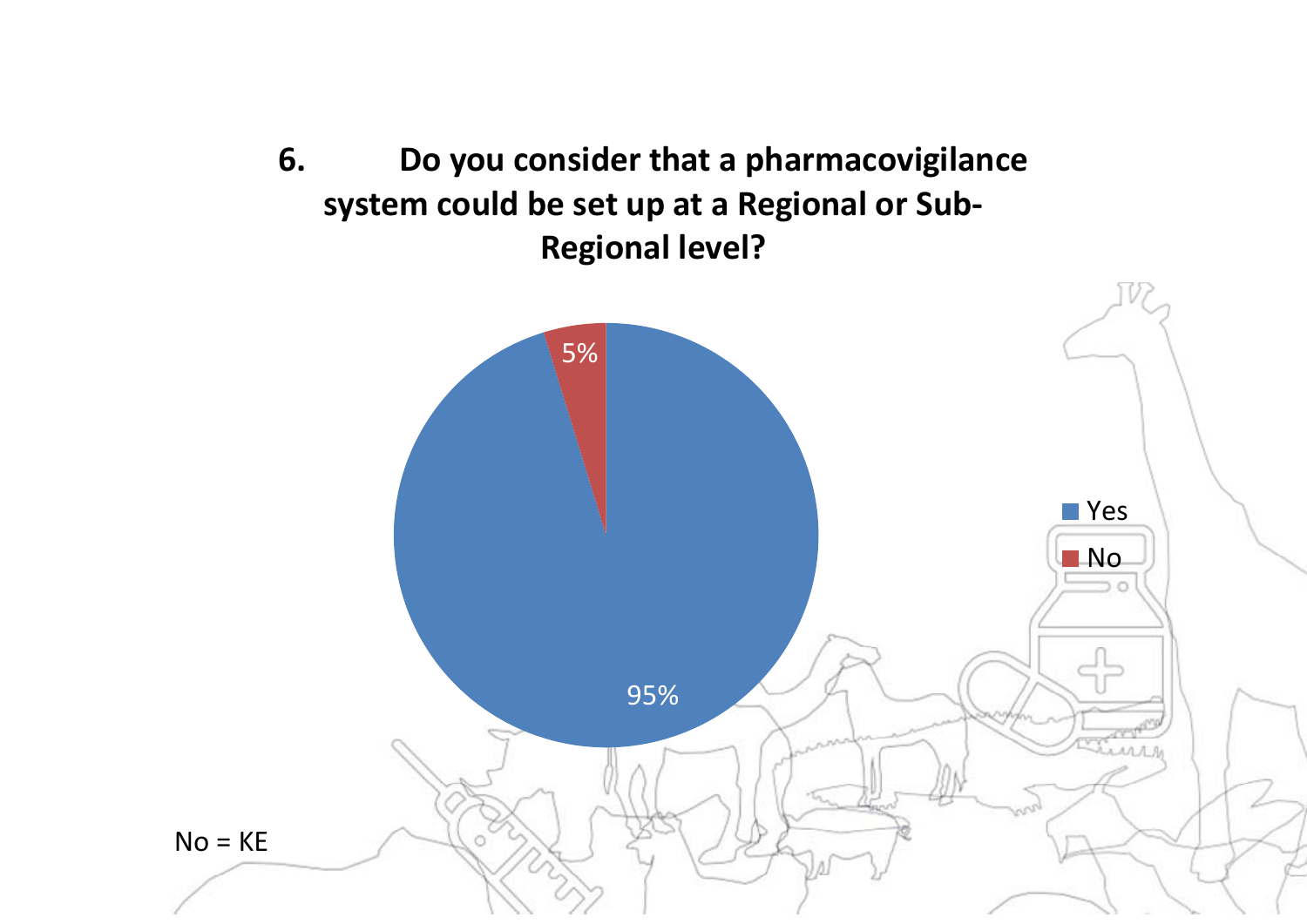

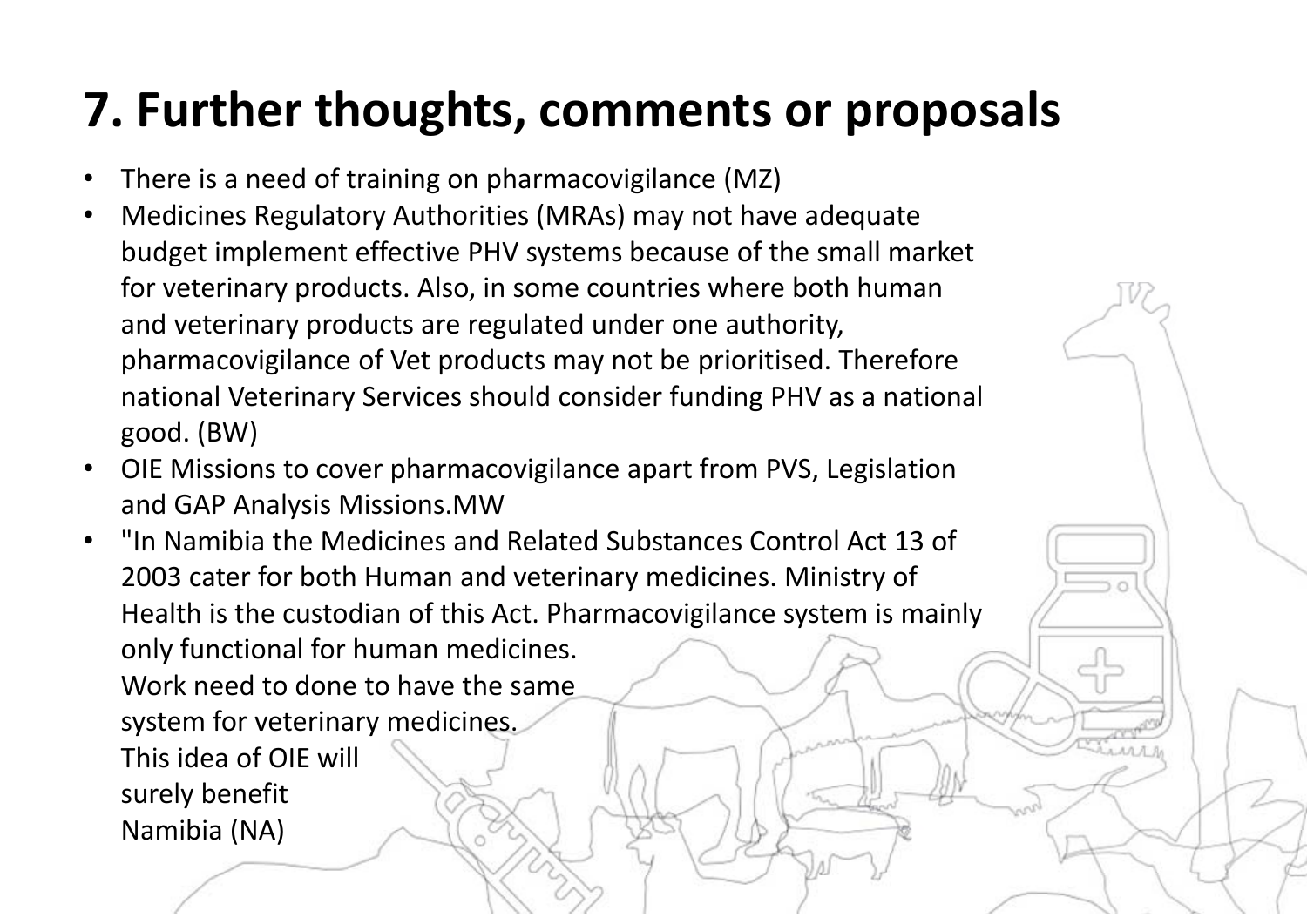#### **7. Further thoughts, comments or proposals**

- •There is a need of training on pharmacovigilance (MZ)
- • Medicines Regulatory Authorities (MRAs) may not have adequate budget implement effective PHV systems because of the small market for veterinary products. Also, in some countries where both human and veterinary products are regulated under one authority, pharmacovigilance of Vet products may not be prioritised. Therefore national Veterinary Services should consider funding PHV as a national good. (BW)
- • OIE Missions to cover pharmacovigilance apart from PVS, Legislation and GAP Analysis Missions.MW
- "In Namibia the Medicines and Related Substances Control Act 13 of 2003 cater for both Human and veterinary medicines. Ministry of Health is the custodian of this Act. Pharmacovigilance system is mainly only functional for human medicines. Work need to done to have the same system for veterinary medicines. This idea of OIE will surely benefit Namibia (NA)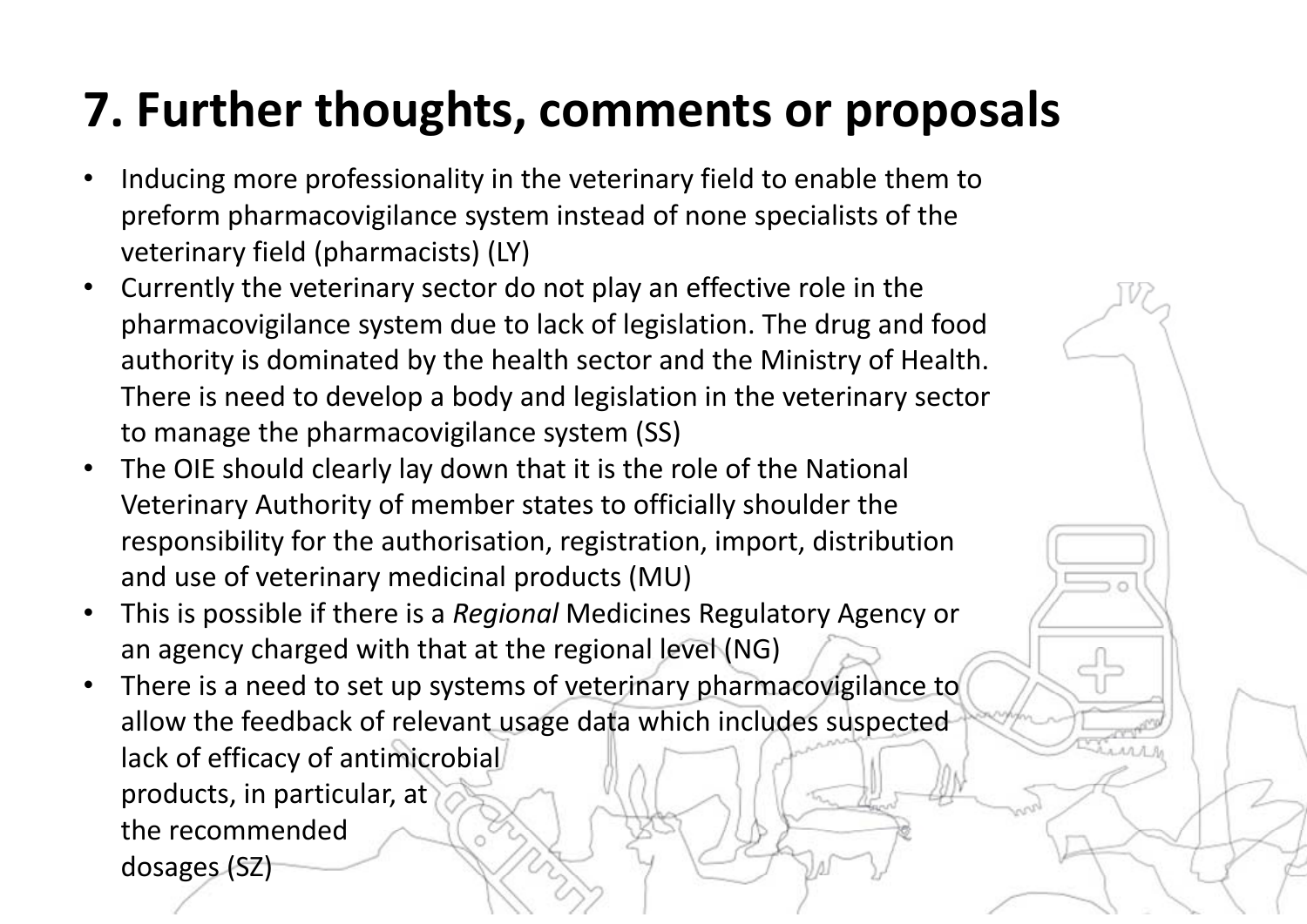#### **7. Further thoughts, comments or proposals**

- • Inducing more professionality in the veterinary field to enable them to preform pharmacovigilance system instead of none specialists of the veterinary field (pharmacists) (LY)
- • Currently the veterinary sector do not play an effective role in the pharmacovigilance system due to lack of legislation. The drug and food authority is dominated by the health sector and the Ministry of Health. There is need to develop a body and legislation in the veterinary sector to manage the pharmacovigilance system (SS)
- • The OIE should clearly lay down that it is the role of the National Veterinary Authority of member states to officially shoulder the responsibility for the authorisation, registration, import, distribution and use of veterinary medicinal products (MU)
- $\bullet$  This is possible if there is a *Regional* Medicines Regulatory Agency or an agency charged with that at the regional level (NG)
- $\bullet$  There is a need to set up systems of veterinary pharmacovigilance to allow the feedback of relevant usage data which includes suspected lack of efficacy of antimicrobial products, in particular, at the recommended dosages (SZ)